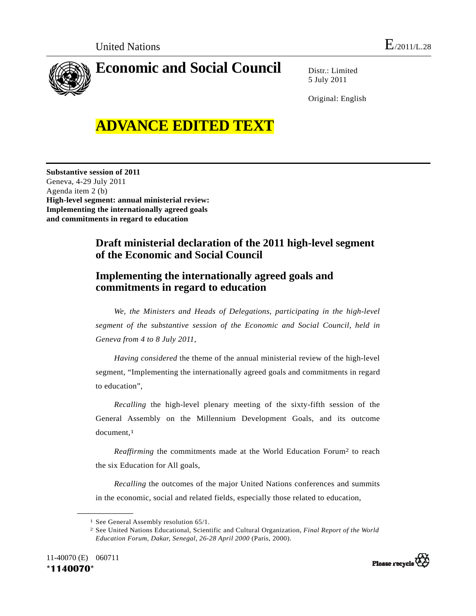

Distr.: Limited 5 July 2011

Original: English

## **ADVANCE EDITED TEXT**

**Substantive session of 2011**  Geneva, 4-29 July 2011 Agenda item 2 (b) **High-level segment: annual ministerial review: Implementing the internationally agreed goals and commitments in regard to education** 

## **Draft ministerial declaration of the 2011 high-level segment of the Economic and Social Council**

## **Implementing the internationally agreed goals and commitments in regard to education**

*We, the Ministers and Heads of Delegations, participating in the high-level segment of the substantive session of the Economic and Social Council, held in Geneva from 4 to 8 July 2011,* 

*Having considered* the theme of the annual ministerial review of the high-level segment, "Implementing the internationally agreed goals and commitments in regard to education",

*Recalling* the high-level plenary meeting of the sixty-fifth session of the General Assembly on the Millennium Development Goals, and its outcome document,<sup>1</sup>

*Reaffirming* the commitments made at the World Education Forum<sup>2</sup> to reach the six Education for All goals,

*Recalling* the outcomes of the major United Nations conferences and summits in the economic, social and related fields, especially those related to education,

<sup>2</sup> See United Nations Educational, Scientific and Cultural Organization, *Final Report of the World Education Forum, Dakar, Senegal, 26-28 April 2000* (Paris, 2000).





<sup>1</sup> See General Assembly resolution 65/1.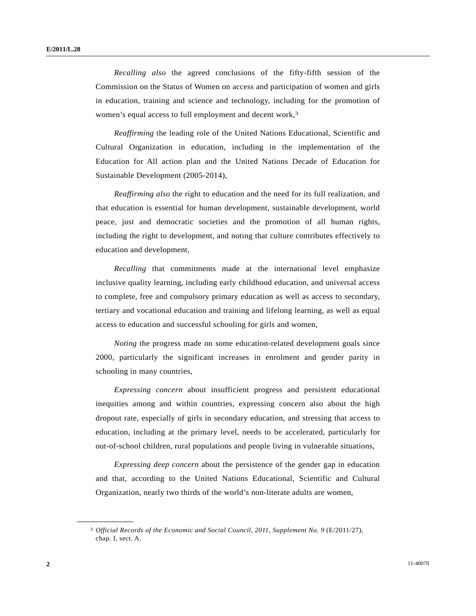*Recalling also* the agreed conclusions of the fifty-fifth session of the Commission on the Status of Women on access and participation of women and girls in education, training and science and technology, including for the promotion of women's equal access to full employment and decent work,<sup>3</sup>

*Reaffirming* the leading role of the United Nations Educational, Scientific and Cultural Organization in education, including in the implementation of the Education for All action plan and the United Nations Decade of Education for Sustainable Development (2005-2014),

*Reaffirming also* the right to education and the need for its full realization, and that education is essential for human development, sustainable development, world peace, just and democratic societies and the promotion of all human rights, including the right to development, and noting that culture contributes effectively to education and development,

*Recalling* that commitments made at the international level emphasize inclusive quality learning, including early childhood education, and universal access to complete, free and compulsory primary education as well as access to secondary, tertiary and vocational education and training and lifelong learning, as well as equal access to education and successful schooling for girls and women,

*Noting* the progress made on some education-related development goals since 2000, particularly the significant increases in enrolment and gender parity in schooling in many countries,

*Expressing concern* about insufficient progress and persistent educational inequities among and within countries, expressing concern also about the high dropout rate, especially of girls in secondary education, and stressing that access to education, including at the primary level, needs to be accelerated, particularly for out-of-school children, rural populations and people living in vulnerable situations,

*Expressing deep concern* about the persistence of the gender gap in education and that, according to the United Nations Educational, Scientific and Cultural Organization, nearly two thirds of the world's non-literate adults are women,

<sup>3</sup> *Official Records of the Economic and Social Council, 2011, Supplement No. 9* (E/2011/27), chap. I, sect. A.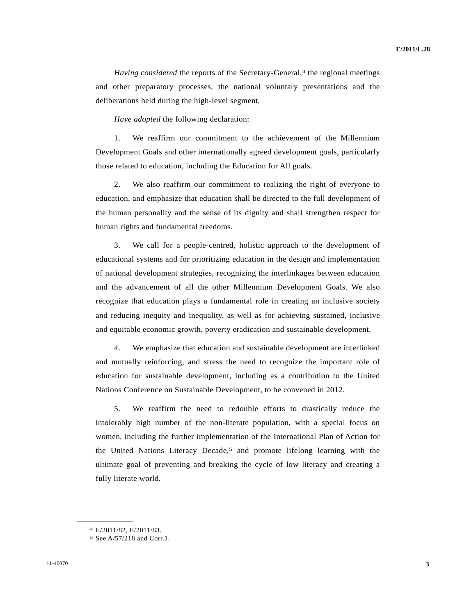*Having considered* the reports of the Secretary-General,<sup>4</sup> the regional meetings and other preparatory processes, the national voluntary presentations and the deliberations held during the high-level segment,

*Have adopted* the following declaration:

 1. We reaffirm our commitment to the achievement of the Millennium Development Goals and other internationally agreed development goals, particularly those related to education, including the Education for All goals.

 2. We also reaffirm our commitment to realizing the right of everyone to education, and emphasize that education shall be directed to the full development of the human personality and the sense of its dignity and shall strengthen respect for human rights and fundamental freedoms.

 3. We call for a people-centred, holistic approach to the development of educational systems and for prioritizing education in the design and implementation of national development strategies, recognizing the interlinkages between education and the advancement of all the other Millennium Development Goals. We also recognize that education plays a fundamental role in creating an inclusive society and reducing inequity and inequality, as well as for achieving sustained, inclusive and equitable economic growth, poverty eradication and sustainable development.

 4. We emphasize that education and sustainable development are interlinked and mutually reinforcing, and stress the need to recognize the important role of education for sustainable development, including as a contribution to the United Nations Conference on Sustainable Development, to be convened in 2012.

 5. We reaffirm the need to redouble efforts to drastically reduce the intolerably high number of the non-literate population, with a special focus on women, including the further implementation of the International Plan of Action for the United Nations Literacy Decade,5 and promote lifelong learning with the ultimate goal of preventing and breaking the cycle of low literacy and creating a fully literate world.

<sup>4</sup> E/2011/82, E/2011/83.

<sup>5</sup> See A/57/218 and Corr.1.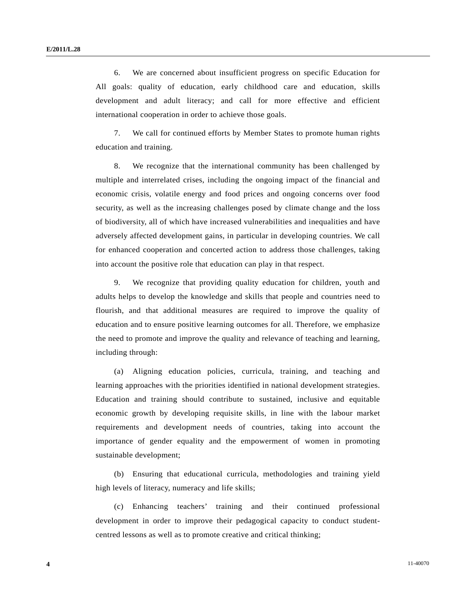6. We are concerned about insufficient progress on specific Education for All goals: quality of education, early childhood care and education, skills development and adult literacy; and call for more effective and efficient international cooperation in order to achieve those goals.

 7. We call for continued efforts by Member States to promote human rights education and training.

 8. We recognize that the international community has been challenged by multiple and interrelated crises, including the ongoing impact of the financial and economic crisis, volatile energy and food prices and ongoing concerns over food security, as well as the increasing challenges posed by climate change and the loss of biodiversity, all of which have increased vulnerabilities and inequalities and have adversely affected development gains, in particular in developing countries. We call for enhanced cooperation and concerted action to address those challenges, taking into account the positive role that education can play in that respect.

 9. We recognize that providing quality education for children, youth and adults helps to develop the knowledge and skills that people and countries need to flourish, and that additional measures are required to improve the quality of education and to ensure positive learning outcomes for all. Therefore, we emphasize the need to promote and improve the quality and relevance of teaching and learning, including through:

 (a) Aligning education policies, curricula, training, and teaching and learning approaches with the priorities identified in national development strategies. Education and training should contribute to sustained, inclusive and equitable economic growth by developing requisite skills, in line with the labour market requirements and development needs of countries, taking into account the importance of gender equality and the empowerment of women in promoting sustainable development;

 (b) Ensuring that educational curricula, methodologies and training yield high levels of literacy, numeracy and life skills;

 (c) Enhancing teachers' training and their continued professional development in order to improve their pedagogical capacity to conduct studentcentred lessons as well as to promote creative and critical thinking;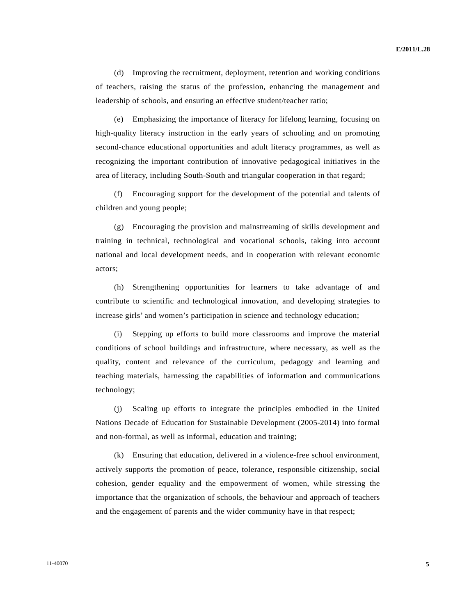(d) Improving the recruitment, deployment, retention and working conditions of teachers, raising the status of the profession, enhancing the management and leadership of schools, and ensuring an effective student/teacher ratio;

 (e) Emphasizing the importance of literacy for lifelong learning, focusing on high-quality literacy instruction in the early years of schooling and on promoting second-chance educational opportunities and adult literacy programmes, as well as recognizing the important contribution of innovative pedagogical initiatives in the area of literacy, including South-South and triangular cooperation in that regard;

 (f) Encouraging support for the development of the potential and talents of children and young people;

 (g) Encouraging the provision and mainstreaming of skills development and training in technical, technological and vocational schools, taking into account national and local development needs, and in cooperation with relevant economic actors;

 (h) Strengthening opportunities for learners to take advantage of and contribute to scientific and technological innovation, and developing strategies to increase girls' and women's participation in science and technology education;

 (i) Stepping up efforts to build more classrooms and improve the material conditions of school buildings and infrastructure, where necessary, as well as the quality, content and relevance of the curriculum, pedagogy and learning and teaching materials, harnessing the capabilities of information and communications technology;

 (j) Scaling up efforts to integrate the principles embodied in the United Nations Decade of Education for Sustainable Development (2005-2014) into formal and non-formal, as well as informal, education and training;

 (k) Ensuring that education, delivered in a violence-free school environment, actively supports the promotion of peace, tolerance, responsible citizenship, social cohesion, gender equality and the empowerment of women, while stressing the importance that the organization of schools, the behaviour and approach of teachers and the engagement of parents and the wider community have in that respect;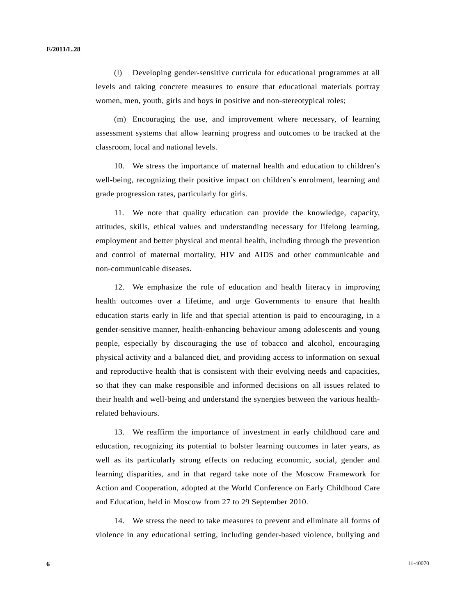(l) Developing gender-sensitive curricula for educational programmes at all levels and taking concrete measures to ensure that educational materials portray women, men, youth, girls and boys in positive and non-stereotypical roles;

 (m) Encouraging the use, and improvement where necessary, of learning assessment systems that allow learning progress and outcomes to be tracked at the classroom, local and national levels.

 10. We stress the importance of maternal health and education to children's well-being, recognizing their positive impact on children's enrolment, learning and grade progression rates, particularly for girls.

 11. We note that quality education can provide the knowledge, capacity, attitudes, skills, ethical values and understanding necessary for lifelong learning, employment and better physical and mental health, including through the prevention and control of maternal mortality, HIV and AIDS and other communicable and non-communicable diseases.

 12. We emphasize the role of education and health literacy in improving health outcomes over a lifetime, and urge Governments to ensure that health education starts early in life and that special attention is paid to encouraging, in a gender-sensitive manner, health-enhancing behaviour among adolescents and young people, especially by discouraging the use of tobacco and alcohol, encouraging physical activity and a balanced diet, and providing access to information on sexual and reproductive health that is consistent with their evolving needs and capacities, so that they can make responsible and informed decisions on all issues related to their health and well-being and understand the synergies between the various healthrelated behaviours.

 13. We reaffirm the importance of investment in early childhood care and education, recognizing its potential to bolster learning outcomes in later years, as well as its particularly strong effects on reducing economic, social, gender and learning disparities, and in that regard take note of the Moscow Framework for Action and Cooperation, adopted at the World Conference on Early Childhood Care and Education, held in Moscow from 27 to 29 September 2010.

 14. We stress the need to take measures to prevent and eliminate all forms of violence in any educational setting, including gender-based violence, bullying and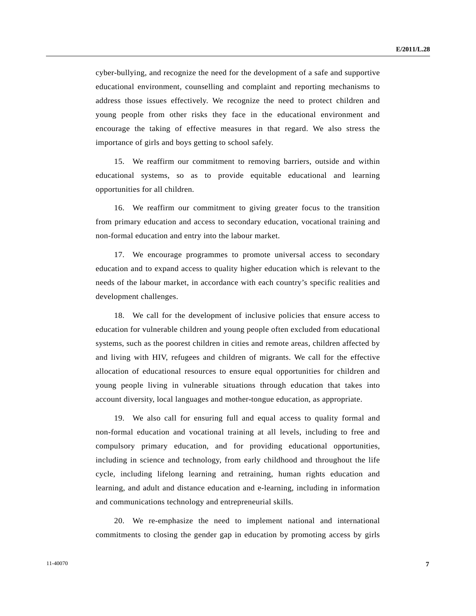cyber-bullying, and recognize the need for the development of a safe and supportive educational environment, counselling and complaint and reporting mechanisms to address those issues effectively. We recognize the need to protect children and young people from other risks they face in the educational environment and encourage the taking of effective measures in that regard. We also stress the importance of girls and boys getting to school safely.

 15. We reaffirm our commitment to removing barriers, outside and within educational systems, so as to provide equitable educational and learning opportunities for all children.

 16. We reaffirm our commitment to giving greater focus to the transition from primary education and access to secondary education, vocational training and non-formal education and entry into the labour market.

 17. We encourage programmes to promote universal access to secondary education and to expand access to quality higher education which is relevant to the needs of the labour market, in accordance with each country's specific realities and development challenges.

 18. We call for the development of inclusive policies that ensure access to education for vulnerable children and young people often excluded from educational systems, such as the poorest children in cities and remote areas, children affected by and living with HIV, refugees and children of migrants. We call for the effective allocation of educational resources to ensure equal opportunities for children and young people living in vulnerable situations through education that takes into account diversity, local languages and mother-tongue education, as appropriate.

 19. We also call for ensuring full and equal access to quality formal and non-formal education and vocational training at all levels, including to free and compulsory primary education, and for providing educational opportunities, including in science and technology, from early childhood and throughout the life cycle, including lifelong learning and retraining, human rights education and learning, and adult and distance education and e-learning, including in information and communications technology and entrepreneurial skills.

 20. We re-emphasize the need to implement national and international commitments to closing the gender gap in education by promoting access by girls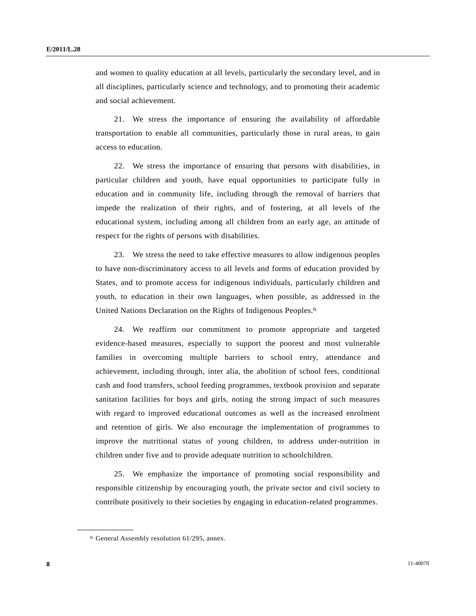and women to quality education at all levels, particularly the secondary level, and in all disciplines, particularly science and technology, and to promoting their academic and social achievement.

 21. We stress the importance of ensuring the availability of affordable transportation to enable all communities, particularly those in rural areas, to gain access to education.

 22. We stress the importance of ensuring that persons with disabilities, in particular children and youth, have equal opportunities to participate fully in education and in community life, including through the removal of barriers that impede the realization of their rights, and of fostering, at all levels of the educational system, including among all children from an early age, an attitude of respect for the rights of persons with disabilities.

 23. We stress the need to take effective measures to allow indigenous peoples to have non-discriminatory access to all levels and forms of education provided by States, and to promote access for indigenous individuals, particularly children and youth, to education in their own languages, when possible, as addressed in the United Nations Declaration on the Rights of Indigenous Peoples.6

 24. We reaffirm our commitment to promote appropriate and targeted evidence-based measures, especially to support the poorest and most vulnerable families in overcoming multiple barriers to school entry, attendance and achievement, including through, inter alia, the abolition of school fees, conditional cash and food transfers, school feeding programmes, textbook provision and separate sanitation facilities for boys and girls, noting the strong impact of such measures with regard to improved educational outcomes as well as the increased enrolment and retention of girls. We also encourage the implementation of programmes to improve the nutritional status of young children, to address under-nutrition in children under five and to provide adequate nutrition to schoolchildren.

 25. We emphasize the importance of promoting social responsibility and responsible citizenship by encouraging youth, the private sector and civil society to contribute positively to their societies by engaging in education-related programmes.

<sup>6</sup> General Assembly resolution 61/295, annex.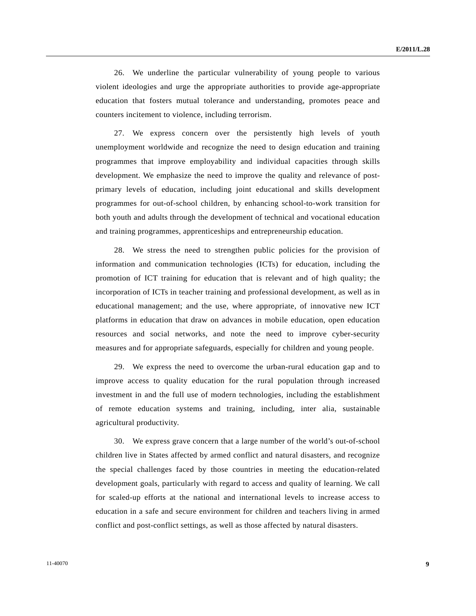26. We underline the particular vulnerability of young people to various violent ideologies and urge the appropriate authorities to provide age-appropriate education that fosters mutual tolerance and understanding, promotes peace and counters incitement to violence, including terrorism.

 27. We express concern over the persistently high levels of youth unemployment worldwide and recognize the need to design education and training programmes that improve employability and individual capacities through skills development. We emphasize the need to improve the quality and relevance of postprimary levels of education, including joint educational and skills development programmes for out-of-school children, by enhancing school-to-work transition for both youth and adults through the development of technical and vocational education and training programmes, apprenticeships and entrepreneurship education.

 28. We stress the need to strengthen public policies for the provision of information and communication technologies (ICTs) for education, including the promotion of ICT training for education that is relevant and of high quality; the incorporation of ICTs in teacher training and professional development, as well as in educational management; and the use, where appropriate, of innovative new ICT platforms in education that draw on advances in mobile education, open education resources and social networks, and note the need to improve cyber-security measures and for appropriate safeguards, especially for children and young people.

 29. We express the need to overcome the urban-rural education gap and to improve access to quality education for the rural population through increased investment in and the full use of modern technologies, including the establishment of remote education systems and training, including, inter alia, sustainable agricultural productivity.

 30. We express grave concern that a large number of the world's out-of-school children live in States affected by armed conflict and natural disasters, and recognize the special challenges faced by those countries in meeting the education-related development goals, particularly with regard to access and quality of learning. We call for scaled-up efforts at the national and international levels to increase access to education in a safe and secure environment for children and teachers living in armed conflict and post-conflict settings, as well as those affected by natural disasters.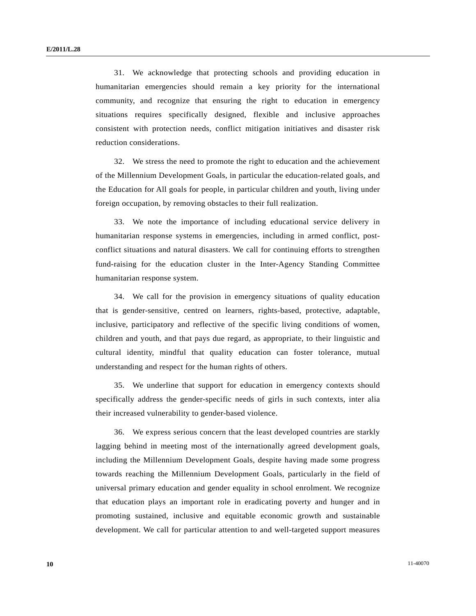31. We acknowledge that protecting schools and providing education in humanitarian emergencies should remain a key priority for the international community, and recognize that ensuring the right to education in emergency situations requires specifically designed, flexible and inclusive approaches consistent with protection needs, conflict mitigation initiatives and disaster risk reduction considerations.

 32. We stress the need to promote the right to education and the achievement of the Millennium Development Goals, in particular the education-related goals, and the Education for All goals for people, in particular children and youth, living under foreign occupation, by removing obstacles to their full realization.

 33. We note the importance of including educational service delivery in humanitarian response systems in emergencies, including in armed conflict, postconflict situations and natural disasters. We call for continuing efforts to strengthen fund-raising for the education cluster in the Inter-Agency Standing Committee humanitarian response system.

 34. We call for the provision in emergency situations of quality education that is gender-sensitive, centred on learners, rights-based, protective, adaptable, inclusive, participatory and reflective of the specific living conditions of women, children and youth, and that pays due regard, as appropriate, to their linguistic and cultural identity, mindful that quality education can foster tolerance, mutual understanding and respect for the human rights of others.

 35. We underline that support for education in emergency contexts should specifically address the gender-specific needs of girls in such contexts, inter alia their increased vulnerability to gender-based violence.

 36. We express serious concern that the least developed countries are starkly lagging behind in meeting most of the internationally agreed development goals, including the Millennium Development Goals, despite having made some progress towards reaching the Millennium Development Goals, particularly in the field of universal primary education and gender equality in school enrolment. We recognize that education plays an important role in eradicating poverty and hunger and in promoting sustained, inclusive and equitable economic growth and sustainable development. We call for particular attention to and well-targeted support measures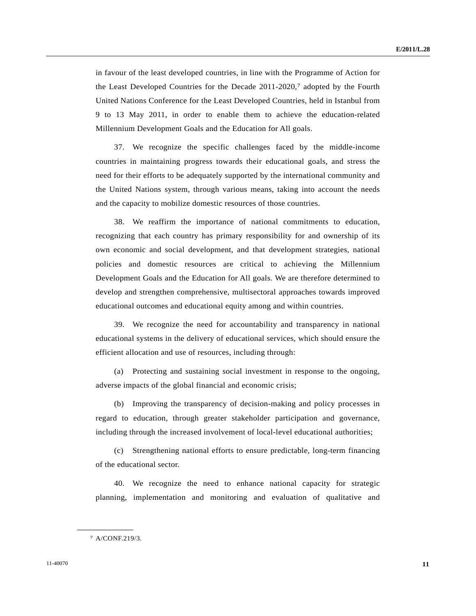in favour of the least developed countries, in line with the Programme of Action for the Least Developed Countries for the Decade 2011-2020,7 adopted by the Fourth United Nations Conference for the Least Developed Countries, held in Istanbul from 9 to 13 May 2011, in order to enable them to achieve the education-related Millennium Development Goals and the Education for All goals.

 37. We recognize the specific challenges faced by the middle-income countries in maintaining progress towards their educational goals, and stress the need for their efforts to be adequately supported by the international community and the United Nations system, through various means, taking into account the needs and the capacity to mobilize domestic resources of those countries.

 38. We reaffirm the importance of national commitments to education, recognizing that each country has primary responsibility for and ownership of its own economic and social development, and that development strategies, national policies and domestic resources are critical to achieving the Millennium Development Goals and the Education for All goals. We are therefore determined to develop and strengthen comprehensive, multisectoral approaches towards improved educational outcomes and educational equity among and within countries.

 39. We recognize the need for accountability and transparency in national educational systems in the delivery of educational services, which should ensure the efficient allocation and use of resources, including through:

 (a) Protecting and sustaining social investment in response to the ongoing, adverse impacts of the global financial and economic crisis;

 (b) Improving the transparency of decision-making and policy processes in regard to education, through greater stakeholder participation and governance, including through the increased involvement of local-level educational authorities;

 (c) Strengthening national efforts to ensure predictable, long-term financing of the educational sector.

 40. We recognize the need to enhance national capacity for strategic planning, implementation and monitoring and evaluation of qualitative and

<sup>7</sup> A/CONF.219/3.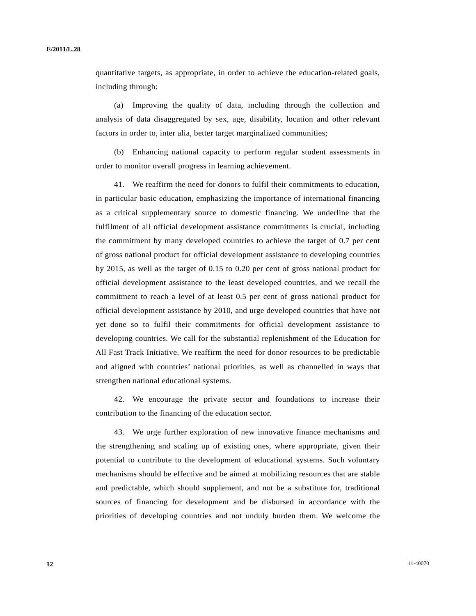quantitative targets, as appropriate, in order to achieve the education-related goals, including through:

 (a) Improving the quality of data, including through the collection and analysis of data disaggregated by sex, age, disability, location and other relevant factors in order to, inter alia, better target marginalized communities;

 (b) Enhancing national capacity to perform regular student assessments in order to monitor overall progress in learning achievement.

 41. We reaffirm the need for donors to fulfil their commitments to education, in particular basic education, emphasizing the importance of international financing as a critical supplementary source to domestic financing. We underline that the fulfilment of all official development assistance commitments is crucial, including the commitment by many developed countries to achieve the target of 0.7 per cent of gross national product for official development assistance to developing countries by 2015, as well as the target of 0.15 to 0.20 per cent of gross national product for official development assistance to the least developed countries, and we recall the commitment to reach a level of at least 0.5 per cent of gross national product for official development assistance by 2010, and urge developed countries that have not yet done so to fulfil their commitments for official development assistance to developing countries. We call for the substantial replenishment of the Education for All Fast Track Initiative. We reaffirm the need for donor resources to be predictable and aligned with countries' national priorities, as well as channelled in ways that strengthen national educational systems.

 42. We encourage the private sector and foundations to increase their contribution to the financing of the education sector.

 43. We urge further exploration of new innovative finance mechanisms and the strengthening and scaling up of existing ones, where appropriate, given their potential to contribute to the development of educational systems. Such voluntary mechanisms should be effective and be aimed at mobilizing resources that are stable and predictable, which should supplement, and not be a substitute for, traditional sources of financing for development and be disbursed in accordance with the priorities of developing countries and not unduly burden them. We welcome the